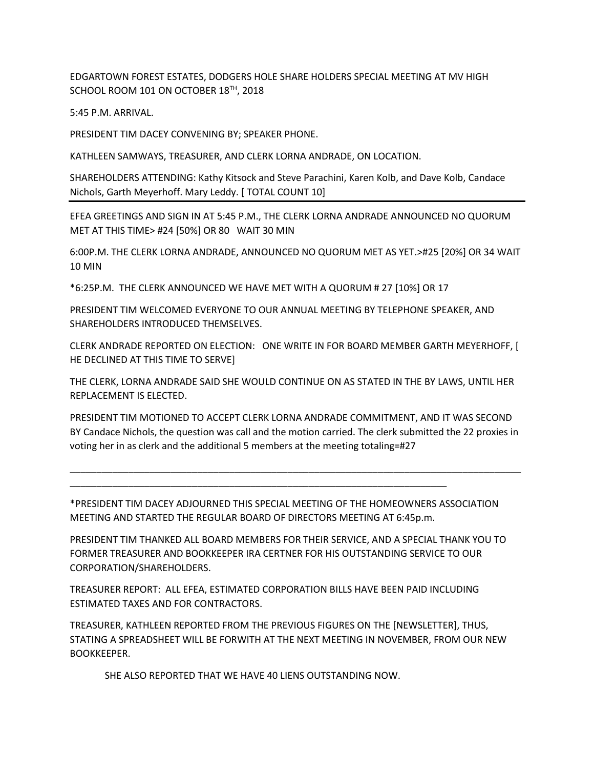EDGARTOWN FOREST ESTATES, DODGERS HOLE SHARE HOLDERS SPECIAL MEETING AT MV HIGH SCHOOL ROOM 101 ON OCTOBER 18<sup>TH</sup>, 2018

5:45 P.M. ARRIVAL.

PRESIDENT TIM DACEY CONVENING BY; SPEAKER PHONE.

KATHLEEN SAMWAYS, TREASURER, AND CLERK LORNA ANDRADE, ON LOCATION.

SHAREHOLDERS ATTENDING: Kathy Kitsock and Steve Parachini, Karen Kolb, and Dave Kolb, Candace Nichols, Garth Meyerhoff. Mary Leddy. [ TOTAL COUNT 10]

EFEA GREETINGS AND SIGN IN AT 5:45 P.M., THE CLERK LORNA ANDRADE ANNOUNCED NO QUORUM MET AT THIS TIME> #24 [50%] OR 80 WAIT 30 MIN

6:00P.M. THE CLERK LORNA ANDRADE, ANNOUNCED NO QUORUM MET AS YET.>#25 [20%] OR 34 WAIT 10 MIN

\*6:25P.M. THE CLERK ANNOUNCED WE HAVE MET WITH A QUORUM # 27 [10%] OR 17

PRESIDENT TIM WELCOMED EVERYONE TO OUR ANNUAL MEETING BY TELEPHONE SPEAKER, AND SHAREHOLDERS INTRODUCED THEMSELVES.

CLERK ANDRADE REPORTED ON ELECTION: ONE WRITE IN FOR BOARD MEMBER GARTH MEYERHOFF, [ HE DECLINED AT THIS TIME TO SERVE]

THE CLERK, LORNA ANDRADE SAID SHE WOULD CONTINUE ON AS STATED IN THE BY LAWS, UNTIL HER REPLACEMENT IS ELECTED.

PRESIDENT TIM MOTIONED TO ACCEPT CLERK LORNA ANDRADE COMMITMENT, AND IT WAS SECOND BY Candace Nichols, the question was call and the motion carried. The clerk submitted the 22 proxies in voting her in as clerk and the additional 5 members at the meeting totaling=#27

\_\_\_\_\_\_\_\_\_\_\_\_\_\_\_\_\_\_\_\_\_\_\_\_\_\_\_\_\_\_\_\_\_\_\_\_\_\_\_\_\_\_\_\_\_\_\_\_\_\_\_\_\_\_\_\_\_\_\_\_\_\_\_\_\_\_\_\_\_\_\_\_\_\_\_\_\_\_\_\_\_\_\_\_\_

\*PRESIDENT TIM DACEY ADJOURNED THIS SPECIAL MEETING OF THE HOMEOWNERS ASSOCIATION MEETING AND STARTED THE REGULAR BOARD OF DIRECTORS MEETING AT 6:45p.m.

\_\_\_\_\_\_\_\_\_\_\_\_\_\_\_\_\_\_\_\_\_\_\_\_\_\_\_\_\_\_\_\_\_\_\_\_\_\_\_\_\_\_\_\_\_\_\_\_\_\_\_\_\_\_\_\_\_\_\_\_\_\_\_\_\_\_\_\_\_\_\_

PRESIDENT TIM THANKED ALL BOARD MEMBERS FOR THEIR SERVICE, AND A SPECIAL THANK YOU TO FORMER TREASURER AND BOOKKEEPER IRA CERTNER FOR HIS OUTSTANDING SERVICE TO OUR CORPORATION/SHAREHOLDERS.

TREASURER REPORT: ALL EFEA, ESTIMATED CORPORATION BILLS HAVE BEEN PAID INCLUDING ESTIMATED TAXES AND FOR CONTRACTORS.

TREASURER, KATHLEEN REPORTED FROM THE PREVIOUS FIGURES ON THE [NEWSLETTER], THUS, STATING A SPREADSHEET WILL BE FORWITH AT THE NEXT MEETING IN NOVEMBER, FROM OUR NEW BOOKKEEPER.

SHE ALSO REPORTED THAT WE HAVE 40 LIENS OUTSTANDING NOW.